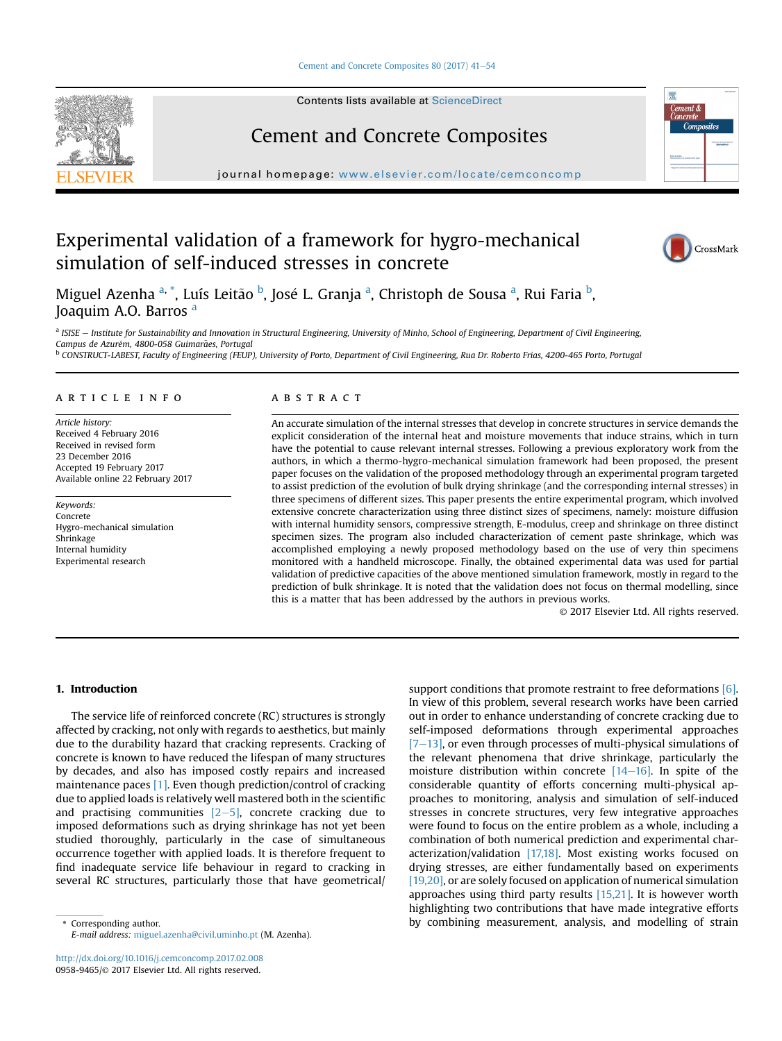#### [Cement and Concrete Composites 80 \(2017\) 41](http://dx.doi.org/10.1016/j.cemconcomp.2017.02.008)-[54](http://dx.doi.org/10.1016/j.cemconcomp.2017.02.008)

Contents lists available at ScienceDirect

## Cement and Concrete Composites

journal homepage: <www.elsevier.com/locate/cemconcomp>

## Experimental validation of a framework for hygro-mechanical simulation of self-induced stresses in concrete



Miguel Azenha <sup>a, \*</sup>, Luís Leitão <sup>b</sup>, José L. Granja <sup>a</sup>, Christoph de Sousa <sup>a</sup>, Rui Faria <sup>b</sup>, Joaquim A.O. Barros <sup>a</sup>

<sup>a</sup> ISISE - Institute for Sustainability and Innovation in Structural Engineering, University of Minho, School of Engineering, Department of Civil Engineering, Campus de Azurém, 4800-058 Guimarães, Portugal <sup>b</sup> CONSTRUCT-LABEST, Faculty of Engineering (FEUP), University of Porto, Department of Civil Engineering, Rua Dr. Roberto Frias, 4200-465 Porto, Portugal

#### article info

Article history: Received 4 February 2016 Received in revised form 23 December 2016 Accepted 19 February 2017 Available online 22 February 2017

Keywords: Concrete Hygro-mechanical simulation Shrinkage Internal humidity Experimental research

### ABSTRACT

An accurate simulation of the internal stresses that develop in concrete structures in service demands the explicit consideration of the internal heat and moisture movements that induce strains, which in turn have the potential to cause relevant internal stresses. Following a previous exploratory work from the authors, in which a thermo-hygro-mechanical simulation framework had been proposed, the present paper focuses on the validation of the proposed methodology through an experimental program targeted to assist prediction of the evolution of bulk drying shrinkage (and the corresponding internal stresses) in three specimens of different sizes. This paper presents the entire experimental program, which involved extensive concrete characterization using three distinct sizes of specimens, namely: moisture diffusion with internal humidity sensors, compressive strength, E-modulus, creep and shrinkage on three distinct specimen sizes. The program also included characterization of cement paste shrinkage, which was accomplished employing a newly proposed methodology based on the use of very thin specimens monitored with a handheld microscope. Finally, the obtained experimental data was used for partial validation of predictive capacities of the above mentioned simulation framework, mostly in regard to the prediction of bulk shrinkage. It is noted that the validation does not focus on thermal modelling, since this is a matter that has been addressed by the authors in previous works.

© 2017 Elsevier Ltd. All rights reserved.

#### 1. Introduction

The service life of reinforced concrete (RC) structures is strongly affected by cracking, not only with regards to aesthetics, but mainly due to the durability hazard that cracking represents. Cracking of concrete is known to have reduced the lifespan of many structures by decades, and also has imposed costly repairs and increased maintenance paces [1]. Even though prediction/control of cracking due to applied loads is relatively well mastered both in the scientific and practising communities  $[2-5]$ , concrete cracking due to imposed deformations such as drying shrinkage has not yet been studied thoroughly, particularly in the case of simultaneous occurrence together with applied loads. It is therefore frequent to find inadequate service life behaviour in regard to cracking in several RC structures, particularly those that have geometrical/

E-mail address: [miguel.azenha@civil.uminho.pt](mailto:miguel.azenha@civil.uminho.pt) (M. Azenha).

<http://dx.doi.org/10.1016/j.cemconcomp.2017.02.008> 0958-9465/© 2017 Elsevier Ltd. All rights reserved.

support conditions that promote restraint to free deformations [6]. In view of this problem, several research works have been carried out in order to enhance understanding of concrete cracking due to self-imposed deformations through experimental approaches  $[7-13]$ , or even through processes of multi-physical simulations of the relevant phenomena that drive shrinkage, particularly the moisture distribution within concrete  $[14-16]$ . In spite of the considerable quantity of efforts concerning multi-physical approaches to monitoring, analysis and simulation of self-induced stresses in concrete structures, very few integrative approaches were found to focus on the entire problem as a whole, including a combination of both numerical prediction and experimental characterization/validation [17,18]. Most existing works focused on drying stresses, are either fundamentally based on experiments [19,20], or are solely focused on application of numerical simulation approaches using third party results  $[15,21]$ . It is however worth highlighting two contributions that have made integrative efforts Corresponding author. **by combining measurement, analysis, and modelling of strain** 



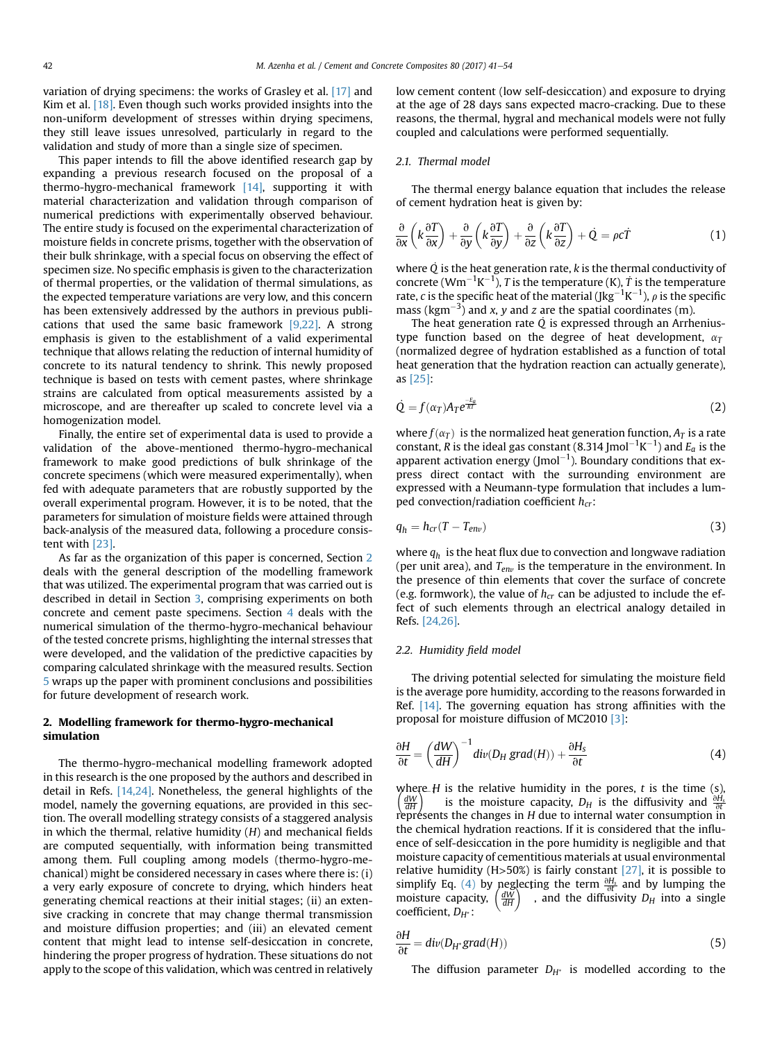variation of drying specimens: the works of Grasley et al. [17] and Kim et al. [18]. Even though such works provided insights into the non-uniform development of stresses within drying specimens, they still leave issues unresolved, particularly in regard to the validation and study of more than a single size of specimen.

This paper intends to fill the above identified research gap by expanding a previous research focused on the proposal of a thermo-hygro-mechanical framework [14], supporting it with material characterization and validation through comparison of numerical predictions with experimentally observed behaviour. The entire study is focused on the experimental characterization of moisture fields in concrete prisms, together with the observation of their bulk shrinkage, with a special focus on observing the effect of specimen size. No specific emphasis is given to the characterization of thermal properties, or the validation of thermal simulations, as the expected temperature variations are very low, and this concern has been extensively addressed by the authors in previous publications that used the same basic framework [9,22]. A strong emphasis is given to the establishment of a valid experimental technique that allows relating the reduction of internal humidity of concrete to its natural tendency to shrink. This newly proposed technique is based on tests with cement pastes, where shrinkage strains are calculated from optical measurements assisted by a microscope, and are thereafter up scaled to concrete level via a homogenization model.

Finally, the entire set of experimental data is used to provide a validation of the above-mentioned thermo-hygro-mechanical framework to make good predictions of bulk shrinkage of the concrete specimens (which were measured experimentally), when fed with adequate parameters that are robustly supported by the overall experimental program. However, it is to be noted, that the parameters for simulation of moisture fields were attained through back-analysis of the measured data, following a procedure consistent with [23].

As far as the organization of this paper is concerned, Section 2 deals with the general description of the modelling framework that was utilized. The experimental program that was carried out is described in detail in Section 3, comprising experiments on both concrete and cement paste specimens. Section 4 deals with the numerical simulation of the thermo-hygro-mechanical behaviour of the tested concrete prisms, highlighting the internal stresses that were developed, and the validation of the predictive capacities by comparing calculated shrinkage with the measured results. Section 5 wraps up the paper with prominent conclusions and possibilities for future development of research work.

#### 2. Modelling framework for thermo-hygro-mechanical simulation

The thermo-hygro-mechanical modelling framework adopted in this research is the one proposed by the authors and described in detail in Refs. [14,24]. Nonetheless, the general highlights of the model, namely the governing equations, are provided in this section. The overall modelling strategy consists of a staggered analysis in which the thermal, relative humidity  $(H)$  and mechanical fields are computed sequentially, with information being transmitted among them. Full coupling among models (thermo-hygro-mechanical) might be considered necessary in cases where there is: (i) a very early exposure of concrete to drying, which hinders heat generating chemical reactions at their initial stages; (ii) an extensive cracking in concrete that may change thermal transmission and moisture diffusion properties; and (iii) an elevated cement content that might lead to intense self-desiccation in concrete, hindering the proper progress of hydration. These situations do not apply to the scope of this validation, which was centred in relatively low cement content (low self-desiccation) and exposure to drying at the age of 28 days sans expected macro-cracking. Due to these reasons, the thermal, hygral and mechanical models were not fully coupled and calculations were performed sequentially.

#### 2.1. Thermal model

The thermal energy balance equation that includes the release of cement hydration heat is given by:

$$
\frac{\partial}{\partial x}\left(k\frac{\partial T}{\partial x}\right) + \frac{\partial}{\partial y}\left(k\frac{\partial T}{\partial y}\right) + \frac{\partial}{\partial z}\left(k\frac{\partial T}{\partial z}\right) + \dot{Q} = \rho c\dot{T}
$$
\n(1)

where  $Q$  is the heat generation rate,  $k$  is the thermal conductivity of concrete (Wm<sup>-1</sup>K<sup>-1</sup>), T is the temperature (K), T is the temperature rate,  $c$  is the specific heat of the material (Jkg $^{-1}$ K $^{-1}$ ),  $\rho$  is the specific mass (kgm<sup>-3</sup>) and x, y and z are the spatial coordinates (m).

The heat generation rate  $\dot{Q}$  is expressed through an Arrheniustype function based on the degree of heat development,  $\alpha_T$ (normalized degree of hydration established as a function of total heat generation that the hydration reaction can actually generate), as [25]:

$$
\dot{Q} = f(\alpha_T) A_T e^{\frac{-E_q}{RT}} \tag{2}
$$

where  $f(\alpha_T)$  is the normalized heat generation function,  $A_T$  is a rate constant, R is the ideal gas constant (8.314 Jmol $^{-1}$ K $^{-1}$ ) and  $E_a$  is the apparent activation energy (Jmol $^{-1}$ ). Boundary conditions that express direct contact with the surrounding environment are expressed with a Neumann-type formulation that includes a lumped convection/radiation coefficient  $h_{cr}$ :

$$
q_h = h_{cr}(T - T_{env})
$$
\n(3)

where  $q_h$  is the heat flux due to convection and longwave radiation (per unit area), and  $T_{env}$  is the temperature in the environment. In the presence of thin elements that cover the surface of concrete (e.g. formwork), the value of  $h_{cr}$  can be adjusted to include the effect of such elements through an electrical analogy detailed in Refs. [24,26].

#### 2.2. Humidity field model

The driving potential selected for simulating the moisture field is the average pore humidity, according to the reasons forwarded in Ref. [14]. The governing equation has strong affinities with the proposal for moisture diffusion of MC2010 [3]:

$$
\frac{\partial H}{\partial t} = \left(\frac{dW}{dH}\right)^{-1} \text{div}(D_H \text{ grad}(H)) + \frac{\partial H_s}{\partial t} \tag{4}
$$

 $\left(\frac{dW}{dH}\right)^{n}$ where  $H$  is the relative humidity in the pores, t is the time  $(s)$ , is the moisture capacity,  $D_H$  is the diffusivity and  $\frac{\partial H_S}{\partial t}$ represents the changes in  $H$  due to internal water consumption in the chemical hydration reactions. If it is considered that the influence of self-desiccation in the pore humidity is negligible and that moisture capacity of cementitious materials at usual environmental relative humidity (H>50%) is fairly constant  $[27]$ , it is possible to simplify Eq. (4) by neglecting the term  $\frac{\partial H_s}{\partial t}$  and by lumping the simplify Eq. (4) by Hegics<br>moisture capacity,  $\left(\frac{dW}{dH}\right)$ , and the diffusivity  $D_H$  into a single coefficient,  $D_{H^*}$ :

$$
\frac{\partial H}{\partial t} = \text{div}(D_{H^*} \text{grad}(H))
$$
\n(5)

The diffusion parameter  $D_{H^*}$  is modelled according to the